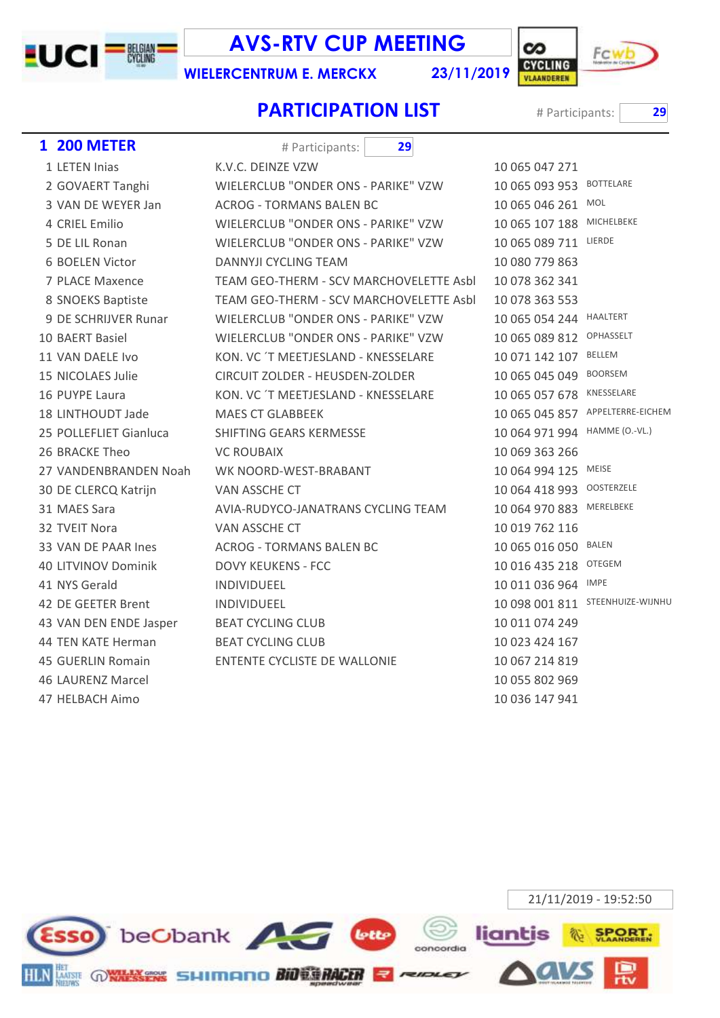

**AVS-RTV CUP MEETING** 

**WIELERCENTRUM E. MERCKX** 

23/11/2019



**BOTTELARE** MOL MICHELBEKE LIERDE

**HAALTERT** OPHASSELT **BELLEM BOORSEM** KNESSELARE

MEISE OOSTERZELE MERELBEKE

BALEN OTEGEM **IMPE** 

APPELTERRE-EICHEM HAMME (O.-VL.)

STEENHUIZE-WIJNHU

## **PARTICIPATION LIST**

# Participants:

29

| <b>1 200 METER</b>     | 29<br># Participants:                   |                |
|------------------------|-----------------------------------------|----------------|
| 1 LETEN Inias          | K.V.C. DEINZE VZW                       | 10 065 047 271 |
| 2 GOVAERT Tanghi       | WIELERCLUB "ONDER ONS - PARIKE" VZW     | 10 065 093 953 |
| 3 VAN DE WEYER Jan     | <b>ACROG - TORMANS BALEN BC</b>         | 10 065 046 261 |
| 4 CRIEL Emilio         | WIELERCLUB "ONDER ONS - PARIKE" VZW     | 10 065 107 188 |
| 5 DE LIL Ronan         | WIELERCLUB "ONDER ONS - PARIKE" VZW     | 10 065 089 711 |
| 6 BOELEN Victor        | <b>DANNYJI CYCLING TEAM</b>             | 10 080 779 863 |
| 7 PLACE Maxence        | TEAM GEO-THERM - SCV MARCHOVELETTE Asbl | 10 078 362 341 |
| 8 SNOEKS Baptiste      | TEAM GEO-THERM - SCV MARCHOVELETTE Asbl | 10 078 363 553 |
| 9 DE SCHRIJVER Runar   | WIELERCLUB "ONDER ONS - PARIKE" VZW     | 10 065 054 244 |
| 10 BAERT Basiel        | WIELERCLUB "ONDER ONS - PARIKE" VZW     | 10 065 089 812 |
| 11 VAN DAELE Ivo       | KON. VC 'T MEETJESLAND - KNESSELARE     | 10 071 142 107 |
| 15 NICOLAES Julie      | CIRCUIT ZOLDER - HEUSDEN-ZOLDER         | 10 065 045 049 |
| 16 PUYPE Laura         | KON. VC 'T MEETJESLAND - KNESSELARE     | 10 065 057 678 |
| 18 LINTHOUDT Jade      | <b>MAES CT GLABBEEK</b>                 | 10 065 045 857 |
| 25 POLLEFLIET Gianluca | SHIFTING GEARS KERMESSE                 | 10 064 971 994 |
| 26 BRACKE Theo         | <b>VC ROUBAIX</b>                       | 10 069 363 266 |
| 27 VANDENBRANDEN Noah  | WK NOORD-WEST-BRABANT                   | 10 064 994 125 |
| 30 DE CLERCQ Katrijn   | VAN ASSCHE CT                           | 10 064 418 993 |
| 31 MAES Sara           | AVIA-RUDYCO-JANATRANS CYCLING TEAM      | 10 064 970 883 |
| 32 TVEIT Nora          | VAN ASSCHE CT                           | 10 019 762 116 |
| 33 VAN DE PAAR Ines    | <b>ACROG - TORMANS BALEN BC</b>         | 10 065 016 050 |
| 40 LITVINOV Dominik    | <b>DOVY KEUKENS - FCC</b>               | 10 016 435 218 |
| 41 NYS Gerald          | INDIVIDUEEL                             | 10 011 036 964 |
| 42 DE GEETER Brent     | INDIVIDUEEL                             | 10 098 001 811 |
| 43 VAN DEN ENDE Jasper | <b>BEAT CYCLING CLUB</b>                | 10 011 074 249 |
| 44 TEN KATE Herman     | <b>BEAT CYCLING CLUB</b>                | 10 023 424 167 |
| 45 GUERLIN Romain      | <b>ENTENTE CYCLISTE DE WALLONIE</b>     | 10 067 214 819 |
| 46 LAURENZ Marcel      |                                         | 10 055 802 969 |
| 47 HELBACH Aimo        |                                         | 10 036 147 941 |